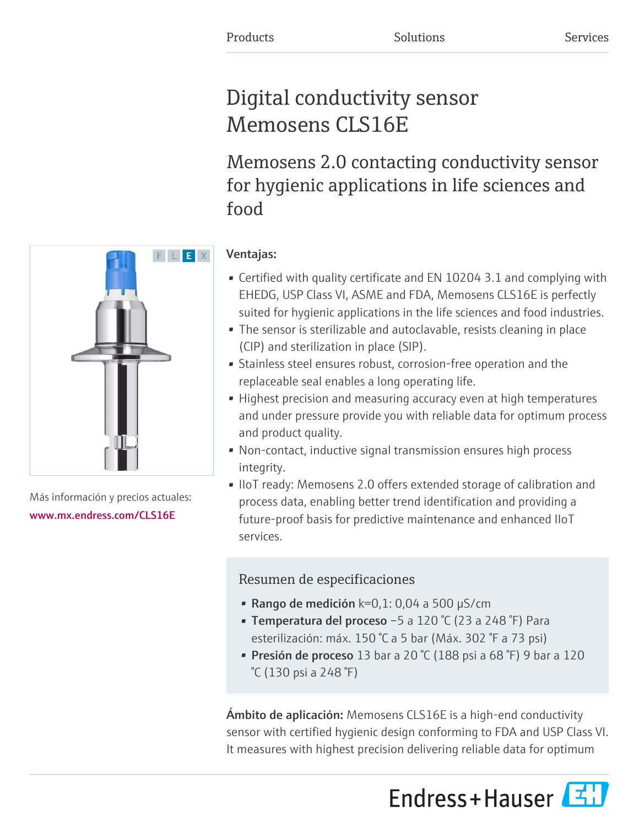# Digital conductivity sensor Memosens CLS16E

Memosens 2.0 contacting conductivity sensor for hygienic applications in life sciences and food



Más información y precios actuales: [www.mx.endress.com/CLS16E](https://www.mx.endress.com/CLS16E)

## Ventajas:

- Certified with quality certificate and EN 10204 3.1 and complying with EHEDG, USP Class VI, ASME and FDA, Memosens CLS16E is perfectly suited for hygienic applications in the life sciences and food industries.
- The sensor is sterilizable and autoclavable, resists cleaning in place (CIP) and sterilization in place (SIP).
- Stainless steel ensures robust, corrosion-free operation and the replaceable seal enables a long operating life.
- Highest precision and measuring accuracy even at high temperatures and under pressure provide you with reliable data for optimum process and product quality.
- Non-contact, inductive signal transmission ensures high process integrity.
- IIoT ready: Memosens 2.0 offers extended storage of calibration and process data, enabling better trend identification and providing a future-proof basis for predictive maintenance and enhanced IIoT services.

## Resumen de especificaciones

- Rango de medición  $k=0,1:0,04$  a 500 µS/cm
- Temperatura del proceso –5 a 120 °C (23 a 248 °F) Para esterilización: máx. 150 °C a 5 bar (Máx. 302 °F a 73 psi)
- Presión de proceso 13 bar a 20  $\degree$ C (188 psi a 68  $\degree$ F) 9 bar a 120 °C (130 psi a 248 °F)

Ámbito de aplicación: Memosens CLS16E is a high-end conductivity sensor with certified hygienic design conforming to FDA and USP Class VI. It measures with highest precision delivering reliable data for optimum

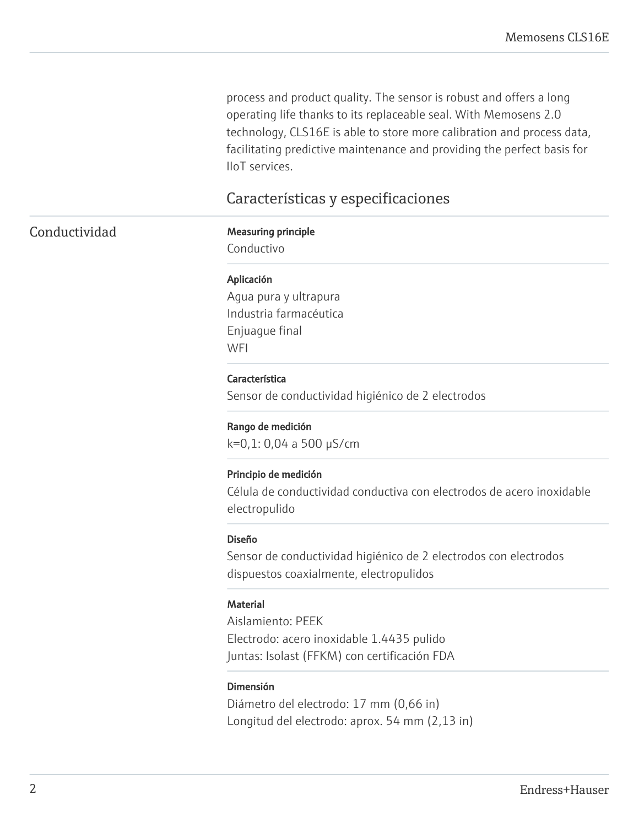process and product quality. The sensor is robust and offers a long operating life thanks to its replaceable seal. With Memosens 2.0 technology, CLS16E is able to store more calibration and process data, facilitating predictive maintenance and providing the perfect basis for IIoT services.

### Características y especificaciones

### Conductividad Measuring principle

Conductivo

#### Aplicación

Agua pura y ultrapura Industria farmacéutica Enjuague final **WFI** 

#### Característica

Sensor de conductividad higiénico de 2 electrodos

#### Rango de medición

k=0,1: 0,04 a 500 µS/cm

#### Principio de medición

Célula de conductividad conductiva con electrodos de acero inoxidable electropulido

#### Diseño

Sensor de conductividad higiénico de 2 electrodos con electrodos dispuestos coaxialmente, electropulidos

#### **Material**

Aislamiento: PEEK Electrodo: acero inoxidable 1.4435 pulido Juntas: Isolast (FFKM) con certificación FDA

#### Dimensión

Diámetro del electrodo: 17 mm (0,66 in) Longitud del electrodo: aprox. 54 mm (2,13 in)